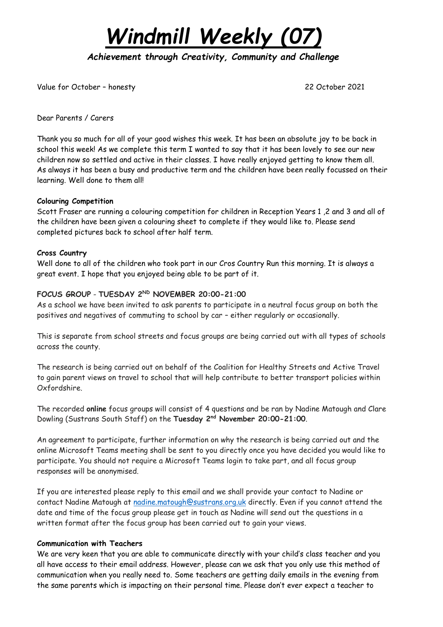# *Windmill Weekly (07)*

*Achievement through Creativity, Community and Challenge* 

Value for October – honesty 22 October 2021

Dear Parents / Carers

Thank you so much for all of your good wishes this week. It has been an absolute joy to be back in school this week! As we complete this term I wanted to say that it has been lovely to see our new children now so settled and active in their classes. I have really enjoyed getting to know them all. As always it has been a busy and productive term and the children have been really focussed on their learning. Well done to them all!

#### **Colouring Competition**

Scott Fraser are running a colouring competition for children in Reception Years 1 ,2 and 3 and all of the children have been given a colouring sheet to complete if they would like to. Please send completed pictures back to school after half term.

#### **Cross Country**

Well done to all of the children who took part in our Cros Country Run this morning. It is always a great event. I hope that you enjoyed being able to be part of it.

#### **FOCUS GROUP** - **TUESDAY 2ND NOVEMBER 20:00-21:00**

As a school we have been invited to ask parents to participate in a neutral focus group on both the positives and negatives of commuting to school by car – either regularly or occasionally.

This is separate from school streets and focus groups are being carried out with all types of schools across the county.

The research is being carried out on behalf of the Coalition for Healthy Streets and Active Travel to gain parent views on travel to school that will help contribute to better transport policies within Oxfordshire.

The recorded **online** focus groups will consist of 4 questions and be ran by Nadine Matough and Clare Dowling (Sustrans South Staff) on the **Tuesday 2nd November 20:00-21:00**.

An agreement to participate, further information on why the research is being carried out and the online Microsoft Teams meeting shall be sent to you directly once you have decided you would like to participate. You should not require a Microsoft Teams login to take part, and all focus group responses will be anonymised.

If you are interested please reply to this email and we shall provide your contact to Nadine or contact Nadine Matough at [nadine.matough@sustrans.org.uk](mailto:nadine.matough@sustrans.org.uk) directly. Even if you cannot attend the date and time of the focus group please get in touch as Nadine will send out the questions in a written format after the focus group has been carried out to gain your views.

#### **Communication with Teachers**

We are very keen that you are able to communicate directly with your child's class teacher and you all have access to their email address. However, please can we ask that you only use this method of communication when you really need to. Some teachers are getting daily emails in the evening from the same parents which is impacting on their personal time. Please don't ever expect a teacher to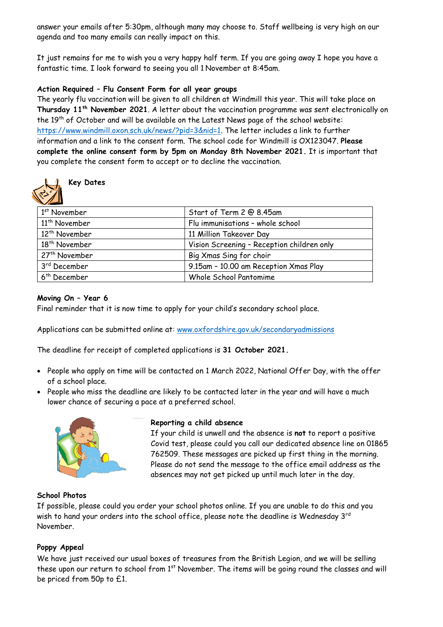answer your emails after 5:30pm, although many may choose to. Staff wellbeing is very high on our agenda and too many emails can really impact on this.

It just remains for me to wish you a very happy half term. If you are going away I hope you have a fantastic time. I look forward to seeing you all 1 November at 8:45am.

#### **Action Required – Flu Consent Form for all year groups**

The yearly flu vaccination will be given to all children at Windmill this year. This will take place on **Thursday 11 th November 2021**. A letter about the vaccination programme was sent electronically on the 19<sup>th</sup> of October and will be available on the Latest News page of the school website: [https://www.windmill.oxon.sch.uk/news/?pid=3&nid=1.](https://www.windmill.oxon.sch.uk/news/?pid=3&nid=1) The letter includes a link to further information and a link to the consent form. The school code for Windmill is OX123047. **Please complete the online consent form by 5pm on Monday 8th November 2021.** It is important that you complete the consent form to accept or to decline the vaccination.



### **Key Dates**

| 1 <sup>st</sup> November  | Start of Term 2 @ 8.45am                   |
|---------------------------|--------------------------------------------|
| 11 <sup>th</sup> November | Flu immunisations - whole school           |
| 12 <sup>th</sup> November | 11 Million Takeover Day                    |
| 18 <sup>th</sup> November | Vision Screening - Reception children only |
| 27 <sup>th</sup> November | Big Xmas Sing for choir                    |
| 3rd December              | 9.15am - 10.00 am Reception Xmas Play      |
| 6 <sup>th</sup> December  | Whole School Pantomime                     |
|                           |                                            |

#### **Moving On – Year 6**

Final reminder that it is now time to apply for your child's secondary school place.

Applications can be submitted online at: [www.oxfordshire.gov.uk/secondaryadmissions](http://www.oxfordshire.gov.uk/secondaryadmissions)

The deadline for receipt of completed applications is **31 October 2021.**

- People who apply on time will be contacted on 1 March 2022, National Offer Day, with the offer of a school place.
- People who miss the deadline are likely to be contacted later in the year and will have a much lower chance of securing a pace at a preferred school.



#### **Reporting a child absence**

If your child is unwell and the absence is **not** to report a positive Covid test, please could you call our dedicated absence line on 01865 762509. These messages are picked up first thing in the morning. Please do not send the message to the office email address as the absences may not get picked up until much later in the day.

#### **School Photos**

If possible, please could you order your school photos online. If you are unable to do this and you wish to hand your orders into the school office, please note the deadline is Wednesday  $3^{rd}$ November.

#### **Poppy Appeal**

We have just received our usual boxes of treasures from the British Legion, and we will be selling these upon our return to school from 1<sup>st</sup> November. The items will be going round the classes and will be priced from 50p to £1.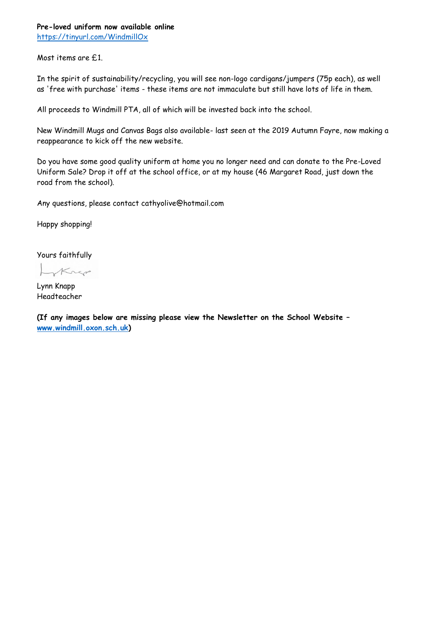#### **Pre-loved uniform now available online** <https://tinyurl.com/WindmillOx>

Most items are £1.

In the spirit of sustainability/recycling, you will see non-logo cardigans/jumpers (75p each), as well as 'free with purchase' items - these items are not immaculate but still have lots of life in them.

All proceeds to Windmill PTA, all of which will be invested back into the school.

New Windmill Mugs and Canvas Bags also available- last seen at the 2019 Autumn Fayre, now making a reappearance to kick off the new website.

Do you have some good quality uniform at home you no longer need and can donate to the Pre-Loved Uniform Sale? Drop it off at the school office, or at my house (46 Margaret Road, just down the road from the school).

Any questions, please contact cathyolive@hotmail.com

Happy shopping!

Yours faithfully

Krep

Lynn Knapp Headteacher

**(If any images below are missing please view the Newsletter on the School Website – [www.windmill.oxon.sch.uk\)](http://www.windmill.oxon.sch.uk/)**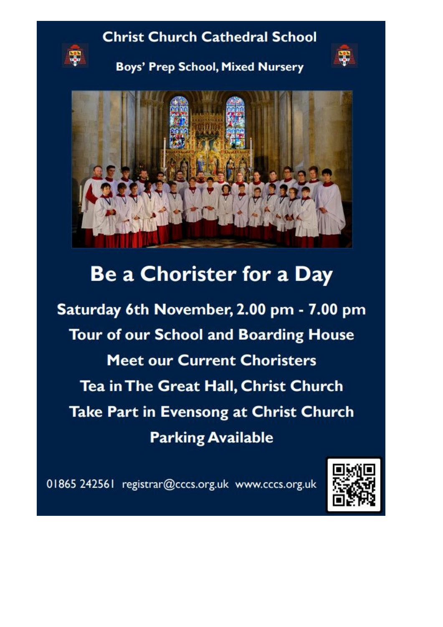## **Christ Church Cathedral School**



**Boys' Prep School, Mixed Nursery** 





## **Be a Chorister for a Day**

Saturday 6th November, 2.00 pm - 7.00 pm **Tour of our School and Boarding House Meet our Current Choristers** Tea in The Great Hall, Christ Church Take Part in Evensong at Christ Church **Parking Available** 

01865 242561 registrar@cccs.org.uk www.cccs.org.uk